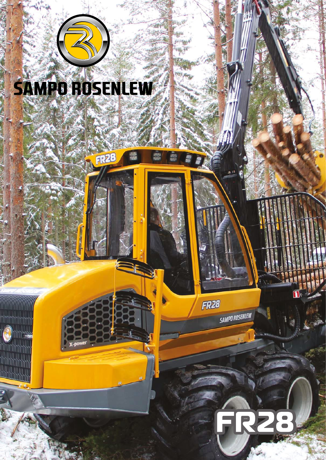

**FR28** 



**SAMPO ROSENLEW** 



 $\blacksquare$